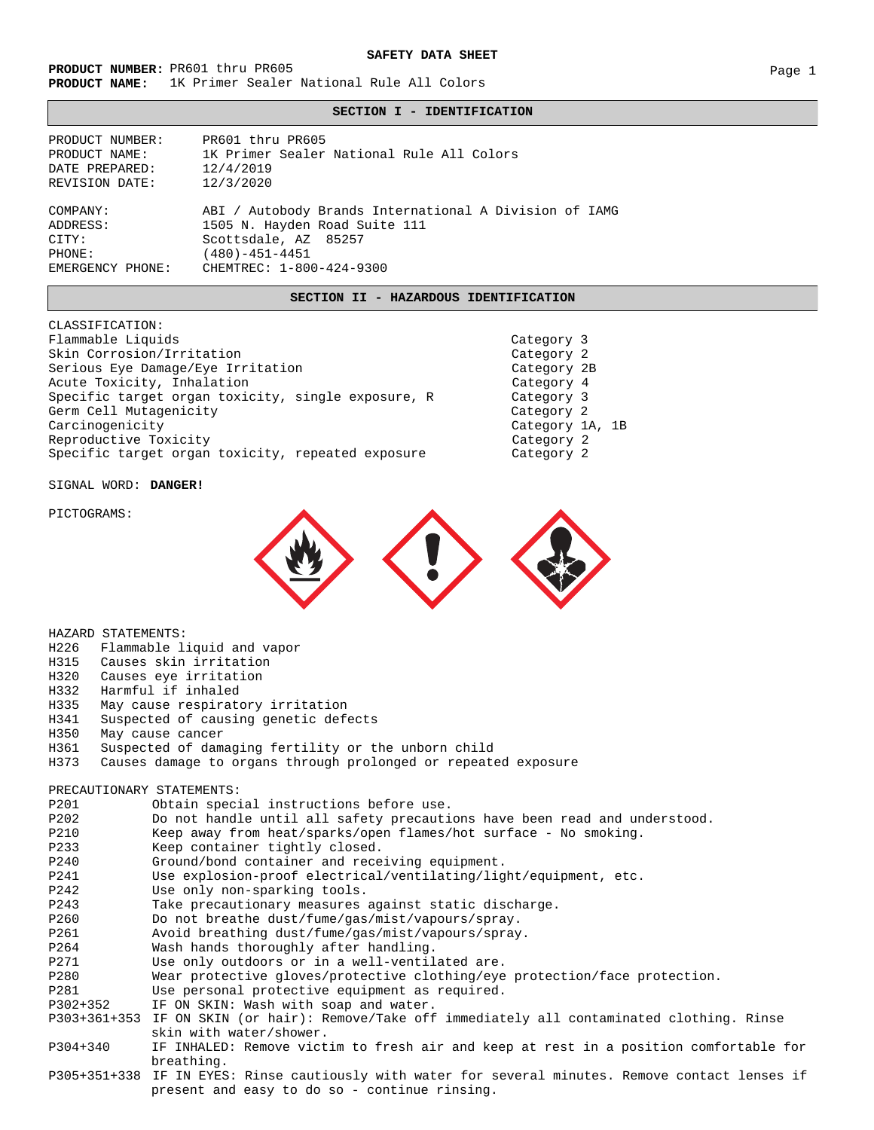#### **SAFETY DATA SHEET**

**PRODUCT NUMBER:** PR601 thru PR605 Page 1 **PRODUCT NAME:** 1K Primer Sealer National Rule All Colors

## **SECTION I - IDENTIFICATION**

PRODUCT NUMBER: PRODUCT NAME: DATE PREPARED: REVISION DATE: COMPANY: ADDRESS: CITY: PHONE: EMERGENCY PHONE: ABI / Autobody Brands International A Division of IAMG 1505 N. Hayden Road Suite 111 Scottsdale, AZ 85257 (480)-451-4451 12/4/2019 12/3/2020 1K Primer Sealer National Rule All Colors PR601 thru PR605 CHEMTREC: 1-800-424-9300

### **SECTION II - HAZARDOUS IDENTIFICATION**

CLASSIFICATION: Flammable Liquids **Category 3** Skin Corrosion/Irritation Category 2 Serious Eye Damage/Eye Irritation Category 2B Category 2B Acute Toxicity, Inhalation Category 4 Specific target organ toxicity, single exposure, R Category 3 Germ Cell Mutagenicity **Category 2** and Category 2 Carcinogenicity **Carcinogenicity** Category 1A, 1B Reproductive Toxicity  $\sim$  2008 and 2008 and 2008 and 2012 and 2013 and 2014 and 2014 and 2014 and 2014 and 20 Specific target organ toxicity, repeated exposure **Category 2** 

SIGNAL WORD: **DANGER!**

HAZARD STATEMENTS:

PICTOGRAMS:



H226 Flammable liquid and vapor H315 Causes skin irritation H320 Causes eye irritation H332 Harmful if inhaled<br>H335 May cause respirate May cause respiratory irritation H341 Suspected of causing genetic defects H350 May cause cancer H361 Suspected of damaging fertility or the unborn child Causes damage to organs through prolonged or repeated exposure PRECAUTIONARY STATEMENTS: P201 Obtain special instructions before use.<br>P202 Do not handle until all safety precauti P202 Do not handle until all safety precautions have been read and understood. Keep away from heat/sparks/open flames/hot surface - No smoking. P233 Keep container tightly closed. P240 Ground/bond container and receiving equipment. P241 Use explosion-proof electrical/ventilating/light/equipment, etc.<br>P242 Use onlv non-sparking tools. Use only non-sparking tools. P243 Take precautionary measures against static discharge. P260 Do not breathe dust/fume/gas/mist/vapours/spray. P261 Avoid breathing dust/fume/gas/mist/vapours/spray. P264 Wash hands thoroughly after handling. P271 Use only outdoors or in a well-ventilated are. P280 Wear protective gloves/protective clothing/eye protection/face protection. P281 Use personal protective equipment as required. P302+352 IF ON SKIN: Wash with soap and water. P303+361+353 IF ON SKIN (or hair): Remove/Take off immediately all contaminated clothing. Rinse skin with water/shower. P304+340 IF INHALED: Remove victim to fresh air and keep at rest in a position comfortable for breathing. P305+351+338 IF IN EYES: Rinse cautiously with water for several minutes. Remove contact lenses if present and easy to do so - continue rinsing.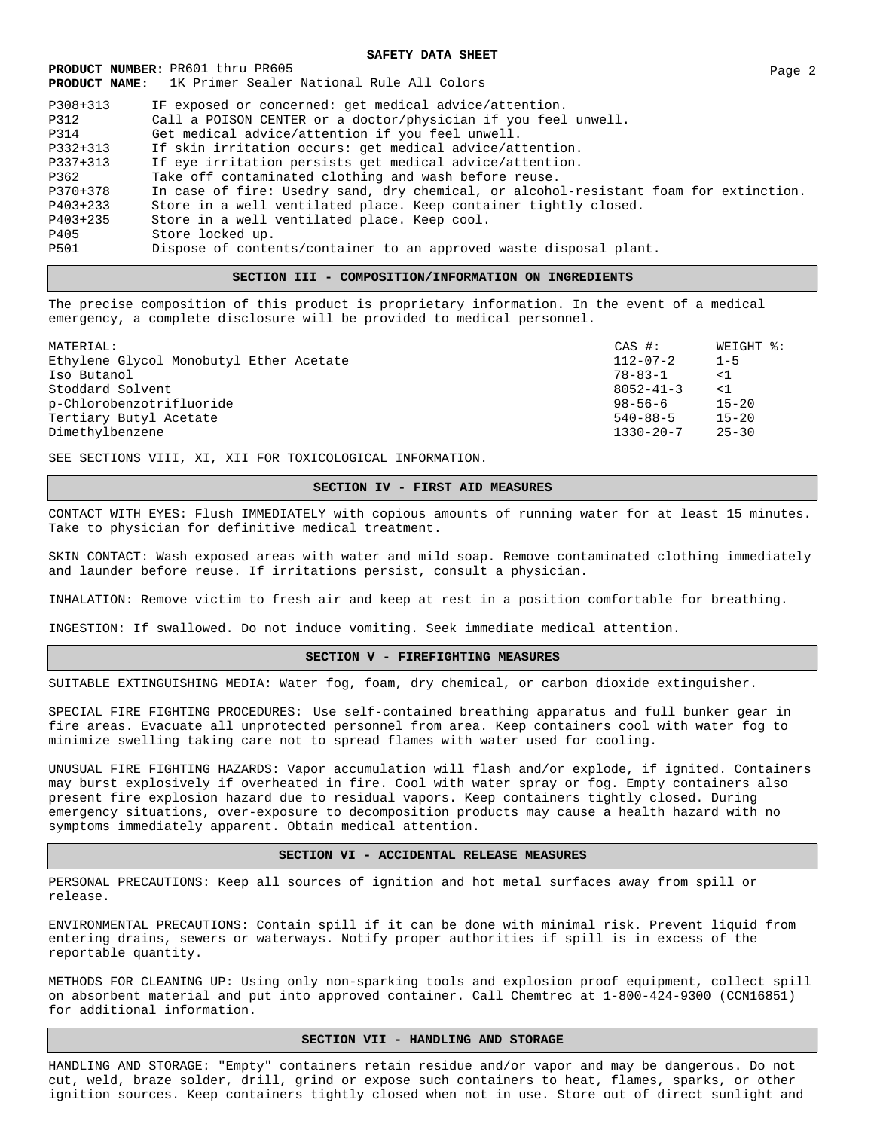**PRODUCT NUMBER:** PR601 thru PR605 Page 2 **PRODUCT NAME:** 1K Primer Sealer National Rule All Colors P308+313 IF exposed or concerned: get medical advice/attention. P312 Call a POISON CENTER or a doctor/physician if you feel unwell. P314 Get medical advice/attention if you feel unwell. P332+313 If skin irritation occurs: get medical advice/attention. If eye irritation persists get medical advice/attention. P362 Take off contaminated clothing and wash before reuse. P370+378 In case of fire: Usedry sand, dry chemical, or alcohol-resistant foam for extinction. P403+233 Store in a well ventilated place. Keep container tightly closed. P403+235 Store in a well ventilated place. Keep cool. Store locked up. P501 Dispose of contents/container to an approved waste disposal plant.

### **SECTION III - COMPOSITION/INFORMATION ON INGREDIENTS**

The precise composition of this product is proprietary information. In the event of a medical emergency, a complete disclosure will be provided to medical personnel.

| CAS #:          | WEIGHT %: |
|-----------------|-----------|
| $112 - 07 - 2$  | $1 - 5$   |
| 78-83-1         | <1        |
| $8052 - 41 - 3$ | <1        |
| 98-56-6         | $15 - 20$ |
| $540 - 88 - 5$  | $15 - 20$ |
| 1330-20-7       | 25-30     |
|                 |           |

SEE SECTIONS VIII, XI, XII FOR TOXICOLOGICAL INFORMATION.

# **SECTION IV - FIRST AID MEASURES**

CONTACT WITH EYES: Flush IMMEDIATELY with copious amounts of running water for at least 15 minutes. Take to physician for definitive medical treatment.

SKIN CONTACT: Wash exposed areas with water and mild soap. Remove contaminated clothing immediately and launder before reuse. If irritations persist, consult a physician.

INHALATION: Remove victim to fresh air and keep at rest in a position comfortable for breathing.

INGESTION: If swallowed. Do not induce vomiting. Seek immediate medical attention.

# **SECTION V - FIREFIGHTING MEASURES**

SUITABLE EXTINGUISHING MEDIA: Water fog, foam, dry chemical, or carbon dioxide extinguisher.

SPECIAL FIRE FIGHTING PROCEDURES: Use self-contained breathing apparatus and full bunker gear in fire areas. Evacuate all unprotected personnel from area. Keep containers cool with water fog to minimize swelling taking care not to spread flames with water used for cooling.

UNUSUAL FIRE FIGHTING HAZARDS: Vapor accumulation will flash and/or explode, if ignited. Containers may burst explosively if overheated in fire. Cool with water spray or fog. Empty containers also present fire explosion hazard due to residual vapors. Keep containers tightly closed. During emergency situations, over-exposure to decomposition products may cause a health hazard with no symptoms immediately apparent. Obtain medical attention.

### **SECTION VI - ACCIDENTAL RELEASE MEASURES**

PERSONAL PRECAUTIONS: Keep all sources of ignition and hot metal surfaces away from spill or release.

ENVIRONMENTAL PRECAUTIONS: Contain spill if it can be done with minimal risk. Prevent liquid from entering drains, sewers or waterways. Notify proper authorities if spill is in excess of the reportable quantity.

METHODS FOR CLEANING UP: Using only non-sparking tools and explosion proof equipment, collect spill on absorbent material and put into approved container. Call Chemtrec at 1-800-424-9300 (CCN16851) for additional information.

### **SECTION VII - HANDLING AND STORAGE**

HANDLING AND STORAGE: "Empty" containers retain residue and/or vapor and may be dangerous. Do not cut, weld, braze solder, drill, grind or expose such containers to heat, flames, sparks, or other ignition sources. Keep containers tightly closed when not in use. Store out of direct sunlight and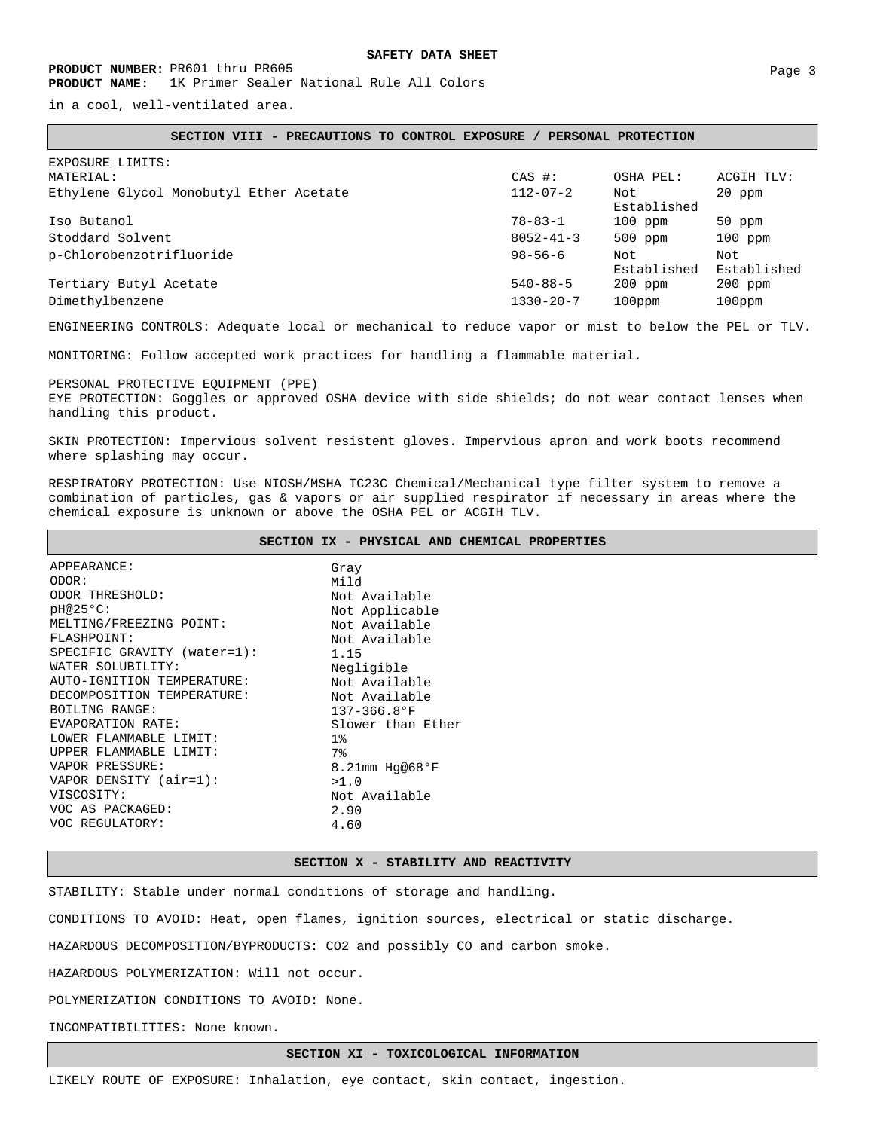in a cool, well-ventilated area.

#### **SECTION VIII - PRECAUTIONS TO CONTROL EXPOSURE / PERSONAL PROTECTION**

| EXPOSURE LIMITS:<br>MATERIAL:           | CAS #:          | OSHA PEL:          | ACGIH TLV:         |
|-----------------------------------------|-----------------|--------------------|--------------------|
| Ethylene Glycol Monobutyl Ether Acetate | $112 - 07 - 2$  | Not<br>Established | 20 ppm             |
| Iso Butanol                             | $78 - 83 - 1$   | 100 ppm            | 50 ppm             |
| Stoddard Solvent                        | $8052 - 41 - 3$ | 500 ppm            | $100$ ppm          |
| p-Chlorobenzotrifluoride                | $98 - 56 - 6$   | Not<br>Established | Not<br>Established |
| Tertiary Butyl Acetate                  | $540 - 88 - 5$  | 200 ppm            | 200 ppm            |
| Dimethylbenzene                         | $1330 - 20 - 7$ | 100ppm             | $100$ ppm          |

ENGINEERING CONTROLS: Adequate local or mechanical to reduce vapor or mist to below the PEL or TLV.

MONITORING: Follow accepted work practices for handling a flammable material.

PERSONAL PROTECTIVE EQUIPMENT (PPE) EYE PROTECTION: Goggles or approved OSHA device with side shields; do not wear contact lenses when handling this product.

SKIN PROTECTION: Impervious solvent resistent gloves. Impervious apron and work boots recommend where splashing may occur.

RESPIRATORY PROTECTION: Use NIOSH/MSHA TC23C Chemical/Mechanical type filter system to remove a combination of particles, gas & vapors or air supplied respirator if necessary in areas where the chemical exposure is unknown or above the OSHA PEL or ACGIH TLV.

|                             | SECTION IX - PHYSICAL AND CHEMICAL PROPERTIES |
|-----------------------------|-----------------------------------------------|
| APPEARANCE:                 | Gray                                          |
| ODOR:                       | Mild                                          |
| ODOR THRESHOLD:             | Not Available                                 |
| $pH@25°C$ :                 | Not Applicable                                |
| MELTING/FREEZING POINT:     | Not Available                                 |
| FLASHPOINT:                 | Not Available                                 |
| SPECIFIC GRAVITY (water=1): | 1.15                                          |
| WATER SOLUBILITY:           | Negligible                                    |
| AUTO-IGNITION TEMPERATURE:  | Not Available                                 |
| DECOMPOSITION TEMPERATURE:  | Not Available                                 |
| BOILING RANGE:              | $137 - 366.8$ °F                              |
| EVAPORATION RATE:           | Slower than Ether                             |
| LOWER FLAMMABLE LIMIT:      | 1%                                            |
| UPPER FLAMMABLE LIMIT:      | 7%                                            |
| VAPOR PRESSURE:             | 8.21mm $Hg@68^{\circ}F$                       |
| VAPOR DENSITY (air=1):      | >1.0                                          |
| VISCOSITY:                  | Not Available                                 |
| VOC AS PACKAGED:            | 2.90                                          |
| VOC REGULATORY:             | 4.60                                          |

**SECTION X - STABILITY AND REACTIVITY**

STABILITY: Stable under normal conditions of storage and handling.

CONDITIONS TO AVOID: Heat, open flames, ignition sources, electrical or static discharge.

HAZARDOUS DECOMPOSITION/BYPRODUCTS: CO2 and possibly CO and carbon smoke.

HAZARDOUS POLYMERIZATION: Will not occur.

POLYMERIZATION CONDITIONS TO AVOID: None.

INCOMPATIBILITIES: None known.

**SECTION XI - TOXICOLOGICAL INFORMATION**

LIKELY ROUTE OF EXPOSURE: Inhalation, eye contact, skin contact, ingestion.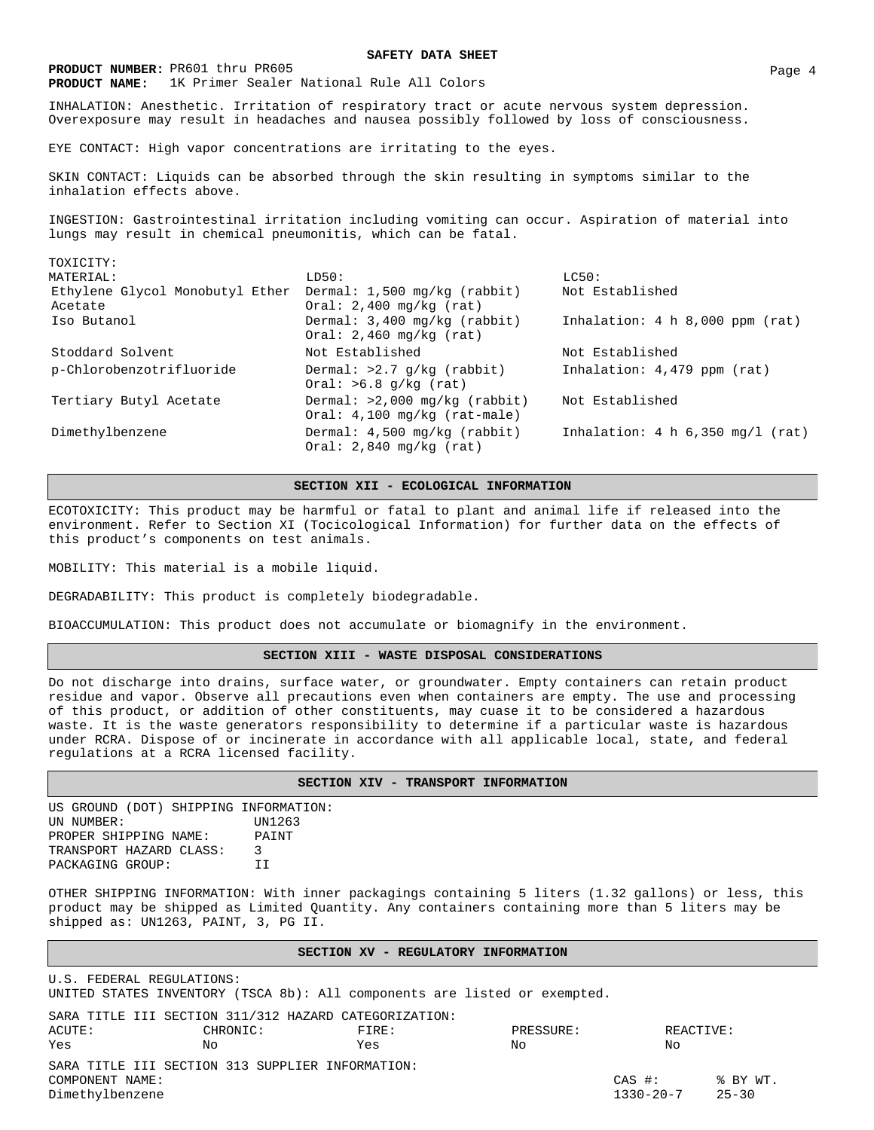**PRODUCT NUMBER:** PR601 thru PR605 Page 4 **PRODUCT NAME:** 1K Primer Sealer National Rule All Colors

# **SAFETY DATA SHEET**

INHALATION: Anesthetic. Irritation of respiratory tract or acute nervous system depression. Overexposure may result in headaches and nausea possibly followed by loss of consciousness.

EYE CONTACT: High vapor concentrations are irritating to the eyes.

SKIN CONTACT: Liquids can be absorbed through the skin resulting in symptoms similar to the inhalation effects above.

INGESTION: Gastrointestinal irritation including vomiting can occur. Aspiration of material into lungs may result in chemical pneumonitis, which can be fatal.

| TOXICITY:                                  |                                                                   |                                    |
|--------------------------------------------|-------------------------------------------------------------------|------------------------------------|
| MATERIAL:                                  | LD50:                                                             | LCS0:                              |
| Ethylene Glycol Monobutyl Ether<br>Acetate | Dermal: 1,500 mg/kg (rabbit)<br>Oral: $2,400$ mg/kg (rat)         | Not Established                    |
| Iso Butanol                                | Dermal: 3,400 mg/kg (rabbit)<br>Oral: $2,460$ mg/kg (rat)         | Inhalation: $4 h 8,000 ppm (rat)$  |
| Stoddard Solvent                           | Not Established                                                   | Not Established                    |
| p-Chlorobenzotrifluoride                   | Dermal: $>2.7$ g/kg (rabbit)<br>Oral: $>6.8$ g/kg (rat)           | Inhalation: 4,479 ppm (rat)        |
| Tertiary Butyl Acetate                     | Dermal: $>2,000$ mg/kg (rabbit)<br>Oral: $4,100$ mg/kg (rat-male) | Not Established                    |
| Dimethylbenzene                            | Dermal: 4,500 mg/kg (rabbit)<br>Oral: $2,840$ mg/kg (rat)         | Inhalation: 4 h $6,350$ mg/l (rat) |

**SECTION XII - ECOLOGICAL INFORMATION**

ECOTOXICITY: This product may be harmful or fatal to plant and animal life if released into the environment. Refer to Section XI (Tocicological Information) for further data on the effects of this product's components on test animals.

MOBILITY: This material is a mobile liquid.

DEGRADABILITY: This product is completely biodegradable.

BIOACCUMULATION: This product does not accumulate or biomagnify in the environment.

# **SECTION XIII - WASTE DISPOSAL CONSIDERATIONS**

Do not discharge into drains, surface water, or groundwater. Empty containers can retain product residue and vapor. Observe all precautions even when containers are empty. The use and processing of this product, or addition of other constituents, may cuase it to be considered a hazardous waste. It is the waste generators responsibility to determine if a particular waste is hazardous under RCRA. Dispose of or incinerate in accordance with all applicable local, state, and federal regulations at a RCRA licensed facility.

### **SECTION XIV - TRANSPORT INFORMATION**

US GROUND (DOT) SHIPPING INFORMATION:<br>UN NUMBER: UN1263 UN NUMBER: PROPER SHIPPING NAME: PAINT TRANSPORT HAZARD CLASS: 3 PACKAGING GROUP: II

OTHER SHIPPING INFORMATION: With inner packagings containing 5 liters (1.32 gallons) or less, this product may be shipped as Limited Quantity. Any containers containing more than 5 liters may be shipped as: UN1263, PAINT, 3, PG II.

### **SECTION XV - REGULATORY INFORMATION**

U.S. FEDERAL REGULATIONS: UNITED STATES INVENTORY (TSCA 8b): All components are listed or exempted.

|                 | SARA TITLE III SECTION 311/312 HAZARD CATEGORIZATION: |       |           |            |            |
|-----------------|-------------------------------------------------------|-------|-----------|------------|------------|
| ACUTE:          | CHRONTC:                                              | FTRF: | PRESSURE: | REACTIVE:  |            |
| Yes             | No.                                                   | Yes   | No.       | NΟ         |            |
|                 | SARA TITLE III SECTION 313 SUPPLIER INFORMATION:      |       |           |            |            |
| COMPONENT NAME: |                                                       |       |           | $CAS \#$ : | $%$ BY WT. |
| Dimethylbenzene |                                                       |       |           | 1330-20-7  | 25-30      |